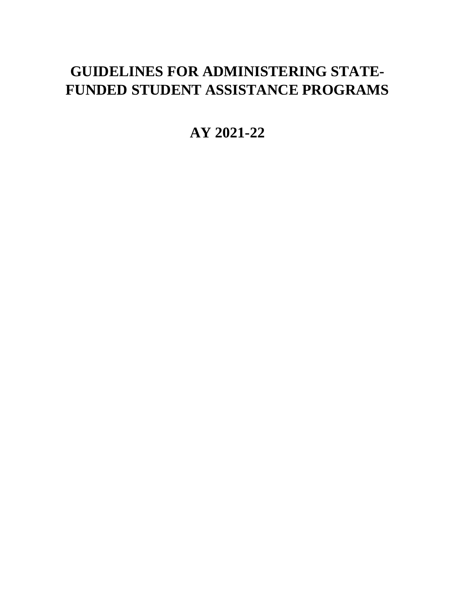# **GUIDELINES FOR ADMINISTERING STATE-FUNDED STUDENT ASSISTANCE PROGRAMS**

**AY 2021-22**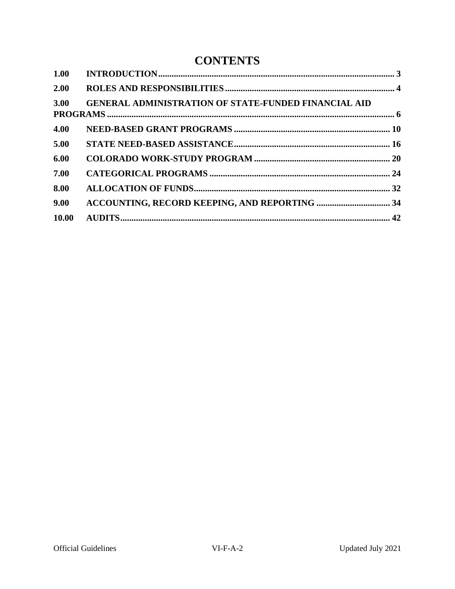## **CONTENTS**

<span id="page-1-0"></span>

| 1.00  |                                                             |  |
|-------|-------------------------------------------------------------|--|
| 2.00  |                                                             |  |
| 3.00  | <b>GENERAL ADMINISTRATION OF STATE-FUNDED FINANCIAL AID</b> |  |
| 4.00  |                                                             |  |
| 5.00  |                                                             |  |
| 6.00  |                                                             |  |
| 7.00  |                                                             |  |
| 8.00  |                                                             |  |
| 9.00  |                                                             |  |
| 10.00 |                                                             |  |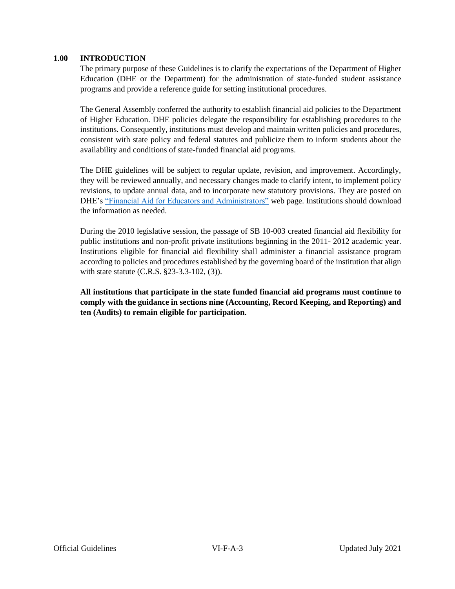## **1.00 INTRODUCTION**

The primary purpose of these Guidelines is to clarify the expectations of the Department of Higher Education (DHE or the Department) for the administration of state-funded student assistance programs and provide a reference guide for setting institutional procedures.

The General Assembly conferred the authority to establish financial aid policies to the Department of Higher Education. DHE policies delegate the responsibility for establishing procedures to the institutions. Consequently, institutions must develop and maintain written policies and procedures, consistent with state policy and federal statutes and publicize them to inform students about the availability and conditions of state-funded financial aid programs.

The DHE guidelines will be subject to regular update, revision, and improvement. Accordingly, they will be reviewed annually, and necessary changes made to clarify intent, to implement policy revisions, to update annual data, and to incorporate new statutory provisions. They are posted on DHE's ["Financial Aid for Educators and Administrators"](https://highered.colorado.gov/financial-aid-for-educators-administrators) web page. Institutions should download the information as needed.

During the 2010 legislative session, the passage of SB 10-003 created financial aid flexibility for public institutions and non-profit private institutions beginning in the 2011- 2012 academic year. Institutions eligible for financial aid flexibility shall administer a financial assistance program according to policies and procedures established by the governing board of the institution that align with state statute (C.R.S. §23-3.3-102, (3)).

**All institutions that participate in the state funded financial aid programs must continue to comply with the guidance in sections nine (Accounting, Record Keeping, and Reporting) and ten (Audits) to remain eligible for participation.**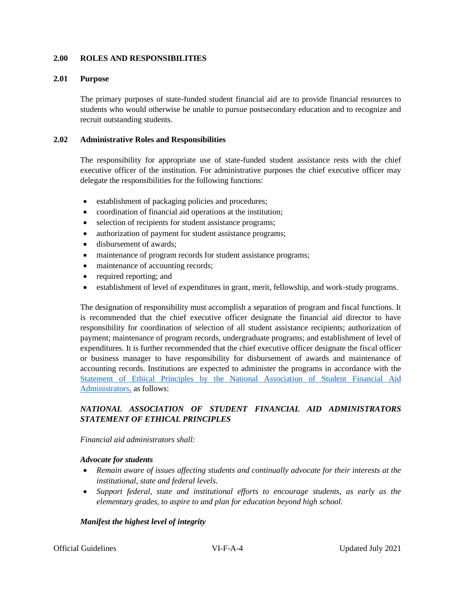## <span id="page-3-0"></span>**2.00 ROLES AND RESPONSIBILITIES**

#### **2.01 Purpose**

The primary purposes of state-funded student financial aid are to provide financial resources to students who would otherwise be unable to pursue postsecondary education and to recognize and recruit outstanding students.

#### **2.02 Administrative Roles and Responsibilities**

The responsibility for appropriate use of state-funded student assistance rests with the chief executive officer of the institution. For administrative purposes the chief executive officer may delegate the responsibilities for the following functions:

- establishment of packaging policies and procedures;
- coordination of financial aid operations at the institution;
- selection of recipients for student assistance programs;
- authorization of payment for student assistance programs;
- disbursement of awards;
- maintenance of program records for student assistance programs;
- maintenance of accounting records;
- required reporting; and
- establishment of level of expenditures in grant, merit, fellowship, and work-study programs.

The designation of responsibility must accomplish a separation of program and fiscal functions. It is recommended that the chief executive officer designate the financial aid director to have responsibility for coordination of selection of all student assistance recipients; authorization of payment; maintenance of program records, undergraduate programs; and establishment of level of expenditures. It is further recommended that the chief executive officer designate the fiscal officer or business manager to have responsibility for disbursement of awards and maintenance of accounting records. Institutions are expected to administer the programs in accordance with the [Statement of Ethical Principles by the National Association of Student Financial Aid](https://www.nasfaa.org/Statement_of_Ethical_Principles)  [Administrators,](https://www.nasfaa.org/Statement_of_Ethical_Principles) as follows:

## *NATIONAL ASSOCIATION OF STUDENT FINANCIAL AID ADMINISTRATORS STATEMENT OF ETHICAL PRINCIPLES*

#### *Financial aid administrators shall:*

#### *Advocate for students*

- *Remain aware of issues affecting students and continually advocate for their interests at the institutional, state and federal levels.*
- *Support federal, state and institutional efforts to encourage students, as early as the elementary grades, to aspire to and plan for education beyond high school.*

## *Manifest the highest level of integrity*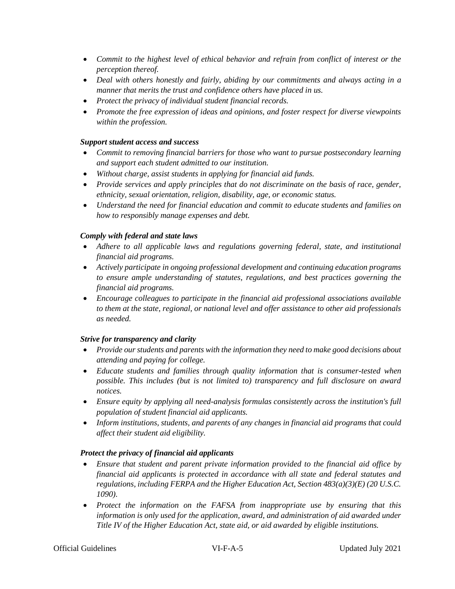- *Commit to the highest level of ethical behavior and refrain from conflict of interest or the perception thereof.*
- *Deal with others honestly and fairly, abiding by our commitments and always acting in a manner that merits the trust and confidence others have placed in us.*
- *Protect the privacy of individual student financial records.*
- *Promote the free expression of ideas and opinions, and foster respect for diverse viewpoints within the profession.*

## *Support student access and success*

- *Commit to removing financial barriers for those who want to pursue postsecondary learning and support each student admitted to our institution.*
- *Without charge, assist students in applying for financial aid funds.*
- *Provide services and apply principles that do not discriminate on the basis of race, gender, ethnicity, sexual orientation, religion, disability, age, or economic status.*
- *Understand the need for financial education and commit to educate students and families on how to responsibly manage expenses and debt.*

## *Comply with federal and state laws*

- *Adhere to all applicable laws and regulations governing federal, state, and institutional financial aid programs.*
- *Actively participate in ongoing professional development and continuing education programs to ensure ample understanding of statutes, regulations, and best practices governing the financial aid programs.*
- *Encourage colleagues to participate in the financial aid professional associations available to them at the state, regional, or national level and offer assistance to other aid professionals as needed.*

## *Strive for transparency and clarity*

- *Provide our students and parents with the information they need to make good decisions about attending and paying for college.*
- *Educate students and families through quality information that is consumer-tested when possible. This includes (but is not limited to) transparency and full disclosure on award notices.*
- *Ensure equity by applying all need-analysis formulas consistently across the institution's full population of student financial aid applicants.*
- *Inform institutions, students, and parents of any changes in financial aid programs that could affect their student aid eligibility.*

## *Protect the privacy of financial aid applicants*

- Ensure that student and parent private information provided to the financial aid office by *financial aid applicants is protected in accordance with all state and federal statutes and regulations, including FERPA and the Higher Education Act, Section 483(a)(3)(E) (20 U.S.C. 1090).*
- *Protect the information on the FAFSA from inappropriate use by ensuring that this information is only used for the application, award, and administration of aid awarded under Title IV of the Higher Education Act, state aid, or aid awarded by eligible institutions.*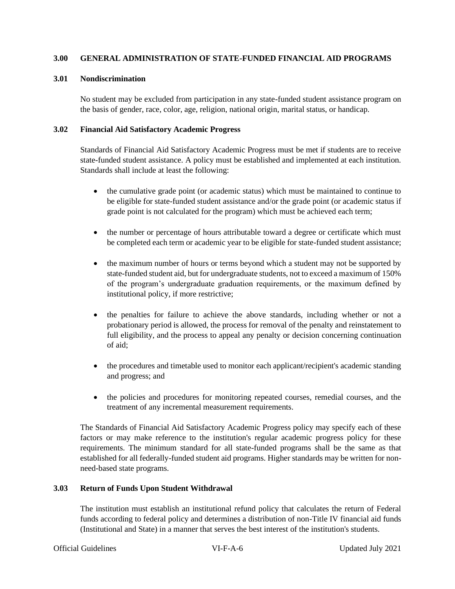## <span id="page-5-0"></span>**3.00 GENERAL ADMINISTRATION OF STATE-FUNDED FINANCIAL AID PROGRAMS**

## **3.01 Nondiscrimination**

No student may be excluded from participation in any state-funded student assistance program on the basis of gender, race, color, age, religion, national origin, marital status, or handicap.

## **3.02 Financial Aid Satisfactory Academic Progress**

Standards of Financial Aid Satisfactory Academic Progress must be met if students are to receive state-funded student assistance. A policy must be established and implemented at each institution. Standards shall include at least the following:

- the cumulative grade point (or academic status) which must be maintained to continue to be eligible for state-funded student assistance and/or the grade point (or academic status if grade point is not calculated for the program) which must be achieved each term;
- the number or percentage of hours attributable toward a degree or certificate which must be completed each term or academic year to be eligible for state-funded student assistance;
- the maximum number of hours or terms beyond which a student may not be supported by state-funded student aid, but for undergraduate students, not to exceed a maximum of 150% of the program's undergraduate graduation requirements, or the maximum defined by institutional policy, if more restrictive;
- the penalties for failure to achieve the above standards, including whether or not a probationary period is allowed, the process for removal of the penalty and reinstatement to full eligibility, and the process to appeal any penalty or decision concerning continuation of aid;
- the procedures and timetable used to monitor each applicant/recipient's academic standing and progress; and
- the policies and procedures for monitoring repeated courses, remedial courses, and the treatment of any incremental measurement requirements.

The Standards of Financial Aid Satisfactory Academic Progress policy may specify each of these factors or may make reference to the institution's regular academic progress policy for these requirements. The minimum standard for all state-funded programs shall be the same as that established for all federally-funded student aid programs. Higher standards may be written for nonneed-based state programs.

## **3.03 Return of Funds Upon Student Withdrawal**

The institution must establish an institutional refund policy that calculates the return of Federal funds according to federal policy and determines a distribution of non-Title IV financial aid funds (Institutional and State) in a manner that serves the best interest of the institution's students.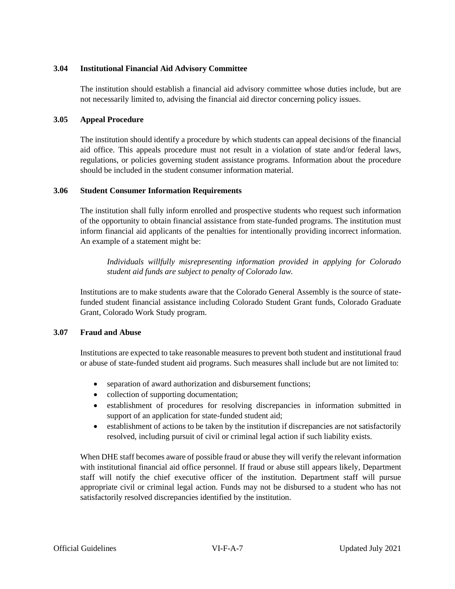## **3.04 Institutional Financial Aid Advisory Committee**

The institution should establish a financial aid advisory committee whose duties include, but are not necessarily limited to, advising the financial aid director concerning policy issues.

## **3.05 Appeal Procedure**

The institution should identify a procedure by which students can appeal decisions of the financial aid office. This appeals procedure must not result in a violation of state and/or federal laws, regulations, or policies governing student assistance programs. Information about the procedure should be included in the student consumer information material.

## **3.06 Student Consumer Information Requirements**

The institution shall fully inform enrolled and prospective students who request such information of the opportunity to obtain financial assistance from state-funded programs. The institution must inform financial aid applicants of the penalties for intentionally providing incorrect information. An example of a statement might be:

*Individuals willfully misrepresenting information provided in applying for Colorado student aid funds are subject to penalty of Colorado law.* 

Institutions are to make students aware that the Colorado General Assembly is the source of statefunded student financial assistance including Colorado Student Grant funds, Colorado Graduate Grant, Colorado Work Study program.

## **3.07 Fraud and Abuse**

Institutions are expected to take reasonable measures to prevent both student and institutional fraud or abuse of state-funded student aid programs. Such measures shall include but are not limited to:

- separation of award authorization and disbursement functions;
- collection of supporting documentation;
- establishment of procedures for resolving discrepancies in information submitted in support of an application for state-funded student aid;
- establishment of actions to be taken by the institution if discrepancies are not satisfactorily resolved, including pursuit of civil or criminal legal action if such liability exists.

When DHE staff becomes aware of possible fraud or abuse they will verify the relevant information with institutional financial aid office personnel. If fraud or abuse still appears likely, Department staff will notify the chief executive officer of the institution. Department staff will pursue appropriate civil or criminal legal action. Funds may not be disbursed to a student who has not satisfactorily resolved discrepancies identified by the institution.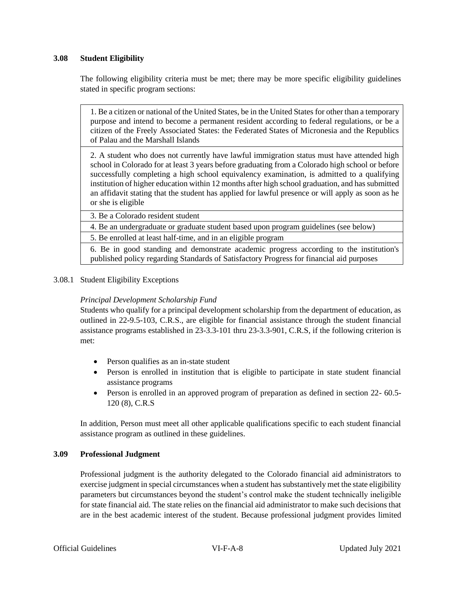## **3.08 Student Eligibility**

The following eligibility criteria must be met; there may be more specific eligibility guidelines stated in specific program sections:

1. Be a citizen or national of the United States, be in the United States for other than a temporary purpose and intend to become a permanent resident according to federal regulations, or be a citizen of the Freely Associated States: the Federated States of Micronesia and the Republics of Palau and the Marshall Islands

2. A student who does not currently have lawful immigration status must have attended high school in Colorado for at least 3 years before graduating from a Colorado high school or before successfully completing a high school equivalency examination, is admitted to a qualifying institution of higher education within 12 months after high school graduation, and has submitted an affidavit stating that the student has applied for lawful presence or will apply as soon as he or she is eligible

3. Be a Colorado resident student

4. Be an undergraduate or graduate student based upon program guidelines (see below)

5. Be enrolled at least half-time, and in an eligible program

6. Be in good standing and demonstrate academic progress according to the institution's published policy regarding Standards of Satisfactory Progress for financial aid purposes

3.08.1 Student Eligibility Exceptions

## *Principal Development Scholarship Fund*

Students who qualify for a principal development scholarship from the department of education, as outlined in 22-9.5-103, C.R.S., are eligible for financial assistance through the student financial assistance programs established in 23-3.3-101 thru 23-3.3-901, C.R.S, if the following criterion is met:

- Person qualifies as an in-state student
- Person is enrolled in institution that is eligible to participate in state student financial assistance programs
- Person is enrolled in an approved program of preparation as defined in section 22- 60.5-120 (8), C.R.S

In addition, Person must meet all other applicable qualifications specific to each student financial assistance program as outlined in these guidelines.

## **3.09 Professional Judgment**

Professional judgment is the authority delegated to the Colorado financial aid administrators to exercise judgment in special circumstances when a student has substantively met the state eligibility parameters but circumstances beyond the student's control make the student technically ineligible for state financial aid. The state relies on the financial aid administrator to make such decisions that are in the best academic interest of the student. Because professional judgment provides limited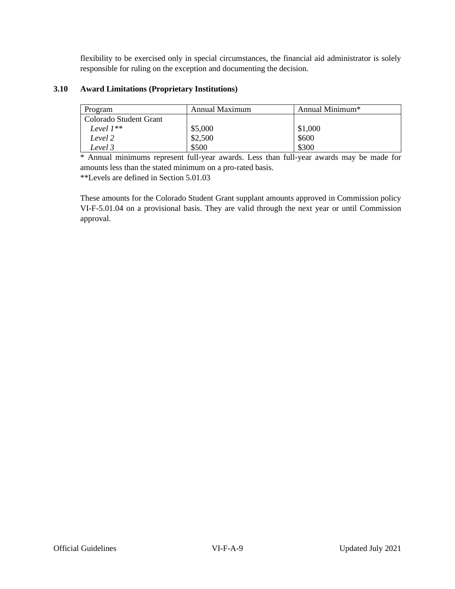flexibility to be exercised only in special circumstances, the financial aid administrator is solely responsible for ruling on the exception and documenting the decision.

## **3.10 Award Limitations (Proprietary Institutions)**

| Program                | Annual Maximum | Annual Minimum <sup>*</sup> |
|------------------------|----------------|-----------------------------|
| Colorado Student Grant |                |                             |
| Level 1**              | \$5,000        | \$1,000                     |
| Level 2                | \$2,500        | \$600                       |
| Level 3                | \$500          | \$300                       |

\* Annual minimums represent full-year awards. Less than full-year awards may be made for amounts less than the stated minimum on a pro-rated basis. \*\*Levels are defined in Section 5.01.03

These amounts for the Colorado Student Grant supplant amounts approved in Commission policy VI-F-5.01.04 on a provisional basis. They are valid through the next year or until Commission approval.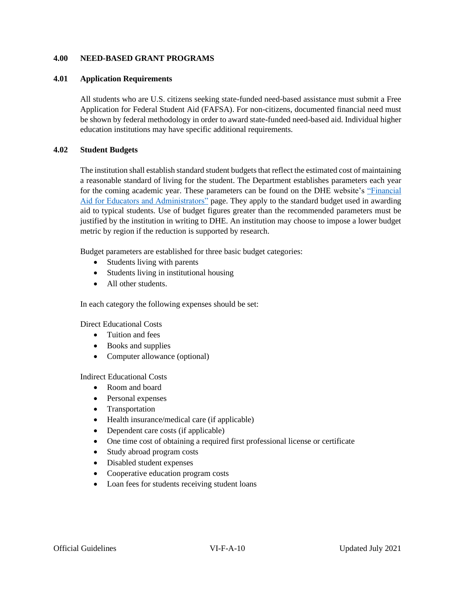## <span id="page-9-0"></span>**4.00 NEED-BASED GRANT PROGRAMS**

#### **4.01 Application Requirements**

All students who are U.S. citizens seeking state-funded need-based assistance must submit a Free Application for Federal Student Aid (FAFSA). For non-citizens, documented financial need must be shown by federal methodology in order to award state-funded need-based aid. Individual higher education institutions may have specific additional requirements.

## **4.02 Student Budgets**

The institution shall establish standard student budgets that reflect the estimated cost of maintaining a reasonable standard of living for the student. The Department establishes parameters each year for the coming academic year. These parameters can be found on the DHE website's ["Financial](https://highered.colorado.gov/financial-aid-for-educators-administrators)  [Aid for Educators and Administrators"](https://highered.colorado.gov/financial-aid-for-educators-administrators) page. They apply to the standard budget used in awarding aid to typical students. Use of budget figures greater than the recommended parameters must be justified by the institution in writing to DHE. An institution may choose to impose a lower budget metric by region if the reduction is supported by research.

Budget parameters are established for three basic budget categories:

- Students living with parents
- Students living in institutional housing
- All other students

In each category the following expenses should be set:

Direct Educational Costs

- Tuition and fees
- Books and supplies
- Computer allowance (optional)

Indirect Educational Costs

- Room and board
- Personal expenses
- Transportation
- Health insurance/medical care (if applicable)
- Dependent care costs (if applicable)
- One time cost of obtaining a required first professional license or certificate
- Study abroad program costs
- Disabled student expenses
- Cooperative education program costs
- Loan fees for students receiving student loans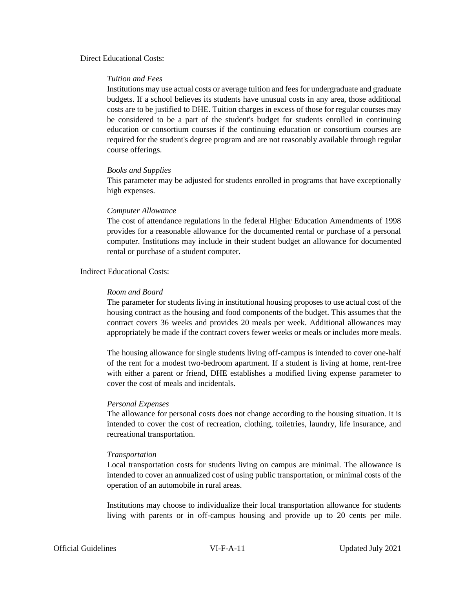#### Direct Educational Costs:

#### *Tuition and Fees*

Institutions may use actual costs or average tuition and fees for undergraduate and graduate budgets. If a school believes its students have unusual costs in any area, those additional costs are to be justified to DHE. Tuition charges in excess of those for regular courses may be considered to be a part of the student's budget for students enrolled in continuing education or consortium courses if the continuing education or consortium courses are required for the student's degree program and are not reasonably available through regular course offerings.

#### *Books and Supplies*

This parameter may be adjusted for students enrolled in programs that have exceptionally high expenses.

#### *Computer Allowance*

The cost of attendance regulations in the federal Higher Education Amendments of 1998 provides for a reasonable allowance for the documented rental or purchase of a personal computer. Institutions may include in their student budget an allowance for documented rental or purchase of a student computer.

## Indirect Educational Costs:

#### *Room and Board*

The parameter for students living in institutional housing proposes to use actual cost of the housing contract as the housing and food components of the budget. This assumes that the contract covers 36 weeks and provides 20 meals per week. Additional allowances may appropriately be made if the contract covers fewer weeks or meals or includes more meals.

The housing allowance for single students living off-campus is intended to cover one-half of the rent for a modest two-bedroom apartment. If a student is living at home, rent-free with either a parent or friend, DHE establishes a modified living expense parameter to cover the cost of meals and incidentals.

#### *Personal Expenses*

The allowance for personal costs does not change according to the housing situation. It is intended to cover the cost of recreation, clothing, toiletries, laundry, life insurance, and recreational transportation.

#### *Transportation*

Local transportation costs for students living on campus are minimal. The allowance is intended to cover an annualized cost of using public transportation, or minimal costs of the operation of an automobile in rural areas.

Institutions may choose to individualize their local transportation allowance for students living with parents or in off-campus housing and provide up to 20 cents per mile.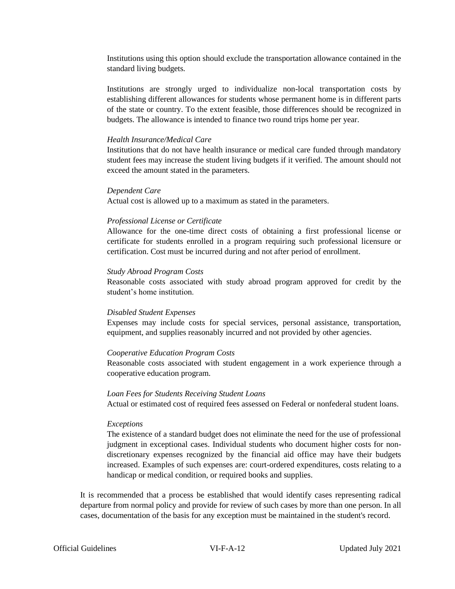Institutions using this option should exclude the transportation allowance contained in the standard living budgets.

Institutions are strongly urged to individualize non-local transportation costs by establishing different allowances for students whose permanent home is in different parts of the state or country. To the extent feasible, those differences should be recognized in budgets. The allowance is intended to finance two round trips home per year.

#### *Health Insurance/Medical Care*

Institutions that do not have health insurance or medical care funded through mandatory student fees may increase the student living budgets if it verified. The amount should not exceed the amount stated in the parameters.

#### *Dependent Care*

Actual cost is allowed up to a maximum as stated in the parameters.

## *Professional License or Certificate*

Allowance for the one-time direct costs of obtaining a first professional license or certificate for students enrolled in a program requiring such professional licensure or certification. Cost must be incurred during and not after period of enrollment.

#### *Study Abroad Program Costs*

Reasonable costs associated with study abroad program approved for credit by the student's home institution.

## *Disabled Student Expenses*

Expenses may include costs for special services, personal assistance, transportation, equipment, and supplies reasonably incurred and not provided by other agencies.

## *Cooperative Education Program Costs*

Reasonable costs associated with student engagement in a work experience through a cooperative education program.

#### *Loan Fees for Students Receiving Student Loans*

Actual or estimated cost of required fees assessed on Federal or nonfederal student loans.

## *Exceptions*

The existence of a standard budget does not eliminate the need for the use of professional judgment in exceptional cases. Individual students who document higher costs for nondiscretionary expenses recognized by the financial aid office may have their budgets increased. Examples of such expenses are: court-ordered expenditures, costs relating to a handicap or medical condition, or required books and supplies.

It is recommended that a process be established that would identify cases representing radical departure from normal policy and provide for review of such cases by more than one person. In all cases, documentation of the basis for any exception must be maintained in the student's record.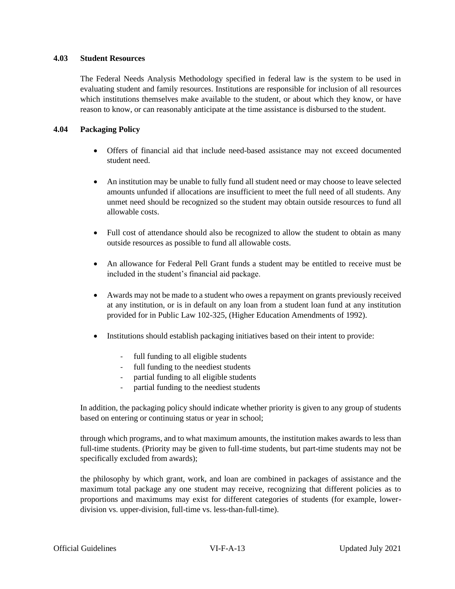## **4.03 Student Resources**

The Federal Needs Analysis Methodology specified in federal law is the system to be used in evaluating student and family resources. Institutions are responsible for inclusion of all resources which institutions themselves make available to the student, or about which they know, or have reason to know, or can reasonably anticipate at the time assistance is disbursed to the student.

## **4.04 Packaging Policy**

- Offers of financial aid that include need-based assistance may not exceed documented student need.
- An institution may be unable to fully fund all student need or may choose to leave selected amounts unfunded if allocations are insufficient to meet the full need of all students. Any unmet need should be recognized so the student may obtain outside resources to fund all allowable costs.
- Full cost of attendance should also be recognized to allow the student to obtain as many outside resources as possible to fund all allowable costs.
- An allowance for Federal Pell Grant funds a student may be entitled to receive must be included in the student's financial aid package.
- Awards may not be made to a student who owes a repayment on grants previously received at any institution, or is in default on any loan from a student loan fund at any institution provided for in Public Law 102-325, (Higher Education Amendments of 1992).
- Institutions should establish packaging initiatives based on their intent to provide:
	- full funding to all eligible students
	- full funding to the neediest students
	- partial funding to all eligible students
	- partial funding to the neediest students

In addition, the packaging policy should indicate whether priority is given to any group of students based on entering or continuing status or year in school;

through which programs, and to what maximum amounts, the institution makes awards to less than full-time students. (Priority may be given to full-time students, but part-time students may not be specifically excluded from awards);

the philosophy by which grant, work, and loan are combined in packages of assistance and the maximum total package any one student may receive, recognizing that different policies as to proportions and maximums may exist for different categories of students (for example, lowerdivision vs. upper-division, full-time vs. less-than-full-time).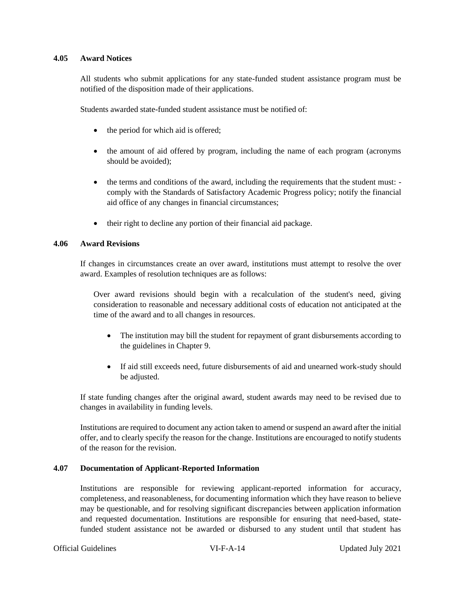#### **4.05 Award Notices**

All students who submit applications for any state-funded student assistance program must be notified of the disposition made of their applications.

Students awarded state-funded student assistance must be notified of:

- the period for which aid is offered;
- the amount of aid offered by program, including the name of each program (acronyms should be avoided);
- the terms and conditions of the award, including the requirements that the student must: comply with the Standards of Satisfactory Academic Progress policy; notify the financial aid office of any changes in financial circumstances;
- their right to decline any portion of their financial aid package.

## **4.06 Award Revisions**

If changes in circumstances create an over award, institutions must attempt to resolve the over award. Examples of resolution techniques are as follows:

Over award revisions should begin with a recalculation of the student's need, giving consideration to reasonable and necessary additional costs of education not anticipated at the time of the award and to all changes in resources.

- The institution may bill the student for repayment of grant disbursements according to the guidelines in Chapter 9.
- If aid still exceeds need, future disbursements of aid and unearned work-study should be adjusted.

If state funding changes after the original award, student awards may need to be revised due to changes in availability in funding levels.

Institutions are required to document any action taken to amend or suspend an award after the initial offer, and to clearly specify the reason for the change. Institutions are encouraged to notify students of the reason for the revision.

## **4.07 Documentation of Applicant-Reported Information**

Institutions are responsible for reviewing applicant-reported information for accuracy, completeness, and reasonableness, for documenting information which they have reason to believe may be questionable, and for resolving significant discrepancies between application information and requested documentation. Institutions are responsible for ensuring that need-based, statefunded student assistance not be awarded or disbursed to any student until that student has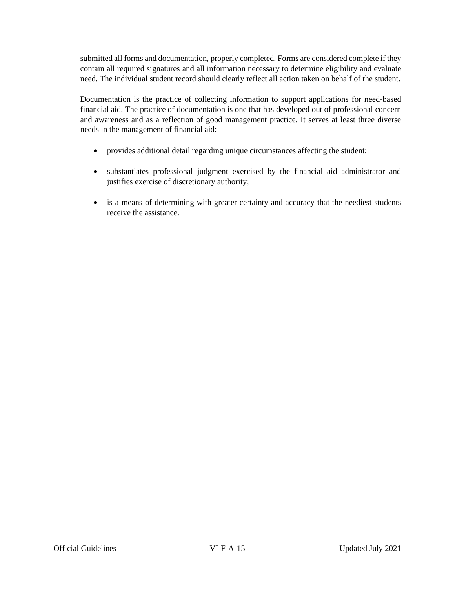submitted all forms and documentation, properly completed. Forms are considered complete if they contain all required signatures and all information necessary to determine eligibility and evaluate need. The individual student record should clearly reflect all action taken on behalf of the student.

Documentation is the practice of collecting information to support applications for need-based financial aid. The practice of documentation is one that has developed out of professional concern and awareness and as a reflection of good management practice. It serves at least three diverse needs in the management of financial aid:

- provides additional detail regarding unique circumstances affecting the student;
- substantiates professional judgment exercised by the financial aid administrator and justifies exercise of discretionary authority;
- is a means of determining with greater certainty and accuracy that the neediest students receive the assistance.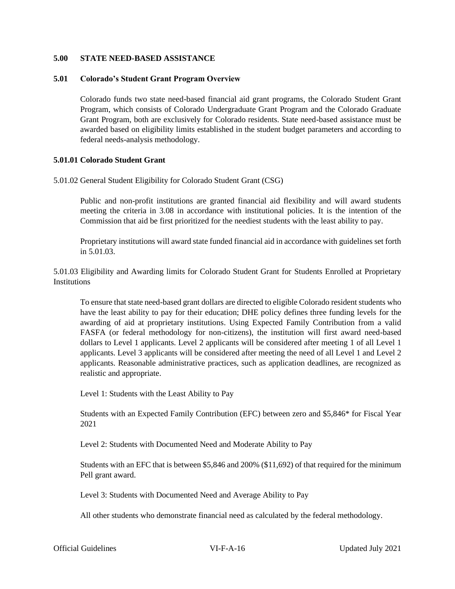## <span id="page-15-0"></span>**5.00 STATE NEED-BASED ASSISTANCE**

#### **5.01 Colorado's Student Grant Program Overview**

Colorado funds two state need-based financial aid grant programs, the Colorado Student Grant Program, which consists of Colorado Undergraduate Grant Program and the Colorado Graduate Grant Program, both are exclusively for Colorado residents. State need-based assistance must be awarded based on eligibility limits established in the student budget parameters and according to federal needs-analysis methodology.

#### **5.01.01 Colorado Student Grant**

5.01.02 General Student Eligibility for Colorado Student Grant (CSG)

Public and non-profit institutions are granted financial aid flexibility and will award students meeting the criteria in 3.08 in accordance with institutional policies. It is the intention of the Commission that aid be first prioritized for the neediest students with the least ability to pay.

Proprietary institutions will award state funded financial aid in accordance with guidelines set forth in 5.01.03.

5.01.03 Eligibility and Awarding limits for Colorado Student Grant for Students Enrolled at Proprietary **Institutions** 

To ensure that state need-based grant dollars are directed to eligible Colorado resident students who have the least ability to pay for their education; DHE policy defines three funding levels for the awarding of aid at proprietary institutions. Using Expected Family Contribution from a valid FASFA (or federal methodology for non-citizens), the institution will first award need-based dollars to Level 1 applicants. Level 2 applicants will be considered after meeting 1 of all Level 1 applicants. Level 3 applicants will be considered after meeting the need of all Level 1 and Level 2 applicants. Reasonable administrative practices, such as application deadlines, are recognized as realistic and appropriate.

Level 1: Students with the Least Ability to Pay

Students with an Expected Family Contribution (EFC) between zero and \$5,846\* for Fiscal Year 2021

Level 2: Students with Documented Need and Moderate Ability to Pay

Students with an EFC that is between \$5,846 and 200% (\$11,692) of that required for the minimum Pell grant award.

Level 3: Students with Documented Need and Average Ability to Pay

All other students who demonstrate financial need as calculated by the federal methodology.

Official Guidelines VI-F-A-16 Updated July 2021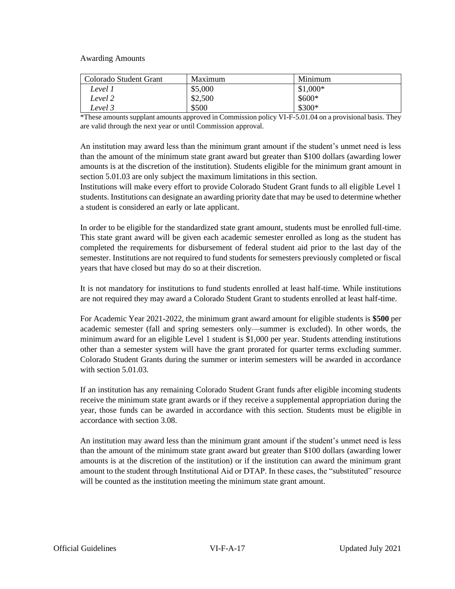Awarding Amounts

| Colorado Student Grant | Maximum | Minimum   |
|------------------------|---------|-----------|
| Level 1                | \$5,000 | $$1,000*$ |
| Level 2                | \$2,500 | $$600*$   |
| Level 3                | \$500   | $$300*$   |

\*These amounts supplant amounts approved in Commission policy VI-F-5.01.04 on a provisional basis. They are valid through the next year or until Commission approval.

An institution may award less than the minimum grant amount if the student's unmet need is less than the amount of the minimum state grant award but greater than \$100 dollars (awarding lower amounts is at the discretion of the institution). Students eligible for the minimum grant amount in section 5.01.03 are only subject the maximum limitations in this section.

Institutions will make every effort to provide Colorado Student Grant funds to all eligible Level 1 students. Institutions can designate an awarding priority date that may be used to determine whether a student is considered an early or late applicant.

In order to be eligible for the standardized state grant amount, students must be enrolled full-time. This state grant award will be given each academic semester enrolled as long as the student has completed the requirements for disbursement of federal student aid prior to the last day of the semester. Institutions are not required to fund students for semesters previously completed or fiscal years that have closed but may do so at their discretion.

It is not mandatory for institutions to fund students enrolled at least half-time. While institutions are not required they may award a Colorado Student Grant to students enrolled at least half-time.

For Academic Year 2021-2022, the minimum grant award amount for eligible students is **\$500** per academic semester (fall and spring semesters only—summer is excluded). In other words, the minimum award for an eligible Level 1 student is \$1,000 per year. Students attending institutions other than a semester system will have the grant prorated for quarter terms excluding summer. Colorado Student Grants during the summer or interim semesters will be awarded in accordance with section 5.01.03.

If an institution has any remaining Colorado Student Grant funds after eligible incoming students receive the minimum state grant awards or if they receive a supplemental appropriation during the year, those funds can be awarded in accordance with this section. Students must be eligible in accordance with section 3.08.

An institution may award less than the minimum grant amount if the student's unmet need is less than the amount of the minimum state grant award but greater than \$100 dollars (awarding lower amounts is at the discretion of the institution) or if the institution can award the minimum grant amount to the student through Institutional Aid or DTAP. In these cases, the "substituted" resource will be counted as the institution meeting the minimum state grant amount.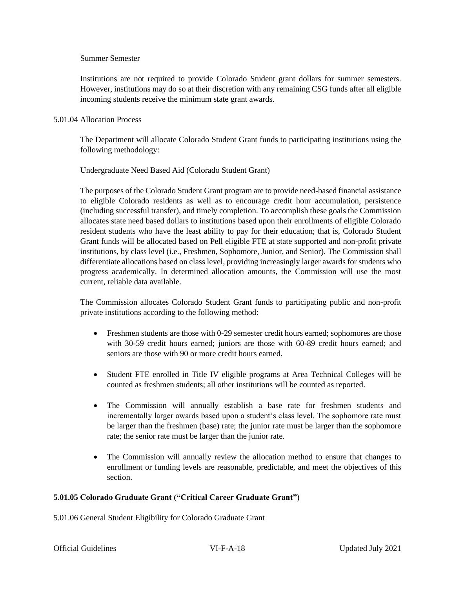#### Summer Semester

Institutions are not required to provide Colorado Student grant dollars for summer semesters. However, institutions may do so at their discretion with any remaining CSG funds after all eligible incoming students receive the minimum state grant awards.

## 5.01.04 Allocation Process

The Department will allocate Colorado Student Grant funds to participating institutions using the following methodology:

Undergraduate Need Based Aid (Colorado Student Grant)

The purposes of the Colorado Student Grant program are to provide need-based financial assistance to eligible Colorado residents as well as to encourage credit hour accumulation, persistence (including successful transfer), and timely completion. To accomplish these goals the Commission allocates state need based dollars to institutions based upon their enrollments of eligible Colorado resident students who have the least ability to pay for their education; that is, Colorado Student Grant funds will be allocated based on Pell eligible FTE at state supported and non-profit private institutions, by class level (i.e., Freshmen, Sophomore, Junior, and Senior). The Commission shall differentiate allocations based on class level, providing increasingly larger awards for students who progress academically. In determined allocation amounts, the Commission will use the most current, reliable data available.

The Commission allocates Colorado Student Grant funds to participating public and non-profit private institutions according to the following method:

- Freshmen students are those with 0-29 semester credit hours earned; sophomores are those with 30-59 credit hours earned; juniors are those with 60-89 credit hours earned; and seniors are those with 90 or more credit hours earned.
- Student FTE enrolled in Title IV eligible programs at Area Technical Colleges will be counted as freshmen students; all other institutions will be counted as reported.
- The Commission will annually establish a base rate for freshmen students and incrementally larger awards based upon a student's class level. The sophomore rate must be larger than the freshmen (base) rate; the junior rate must be larger than the sophomore rate; the senior rate must be larger than the junior rate.
- The Commission will annually review the allocation method to ensure that changes to enrollment or funding levels are reasonable, predictable, and meet the objectives of this section.

## **5.01.05 Colorado Graduate Grant ("Critical Career Graduate Grant")**

5.01.06 General Student Eligibility for Colorado Graduate Grant

|  | <b>Official Guidelines</b> |
|--|----------------------------|
|--|----------------------------|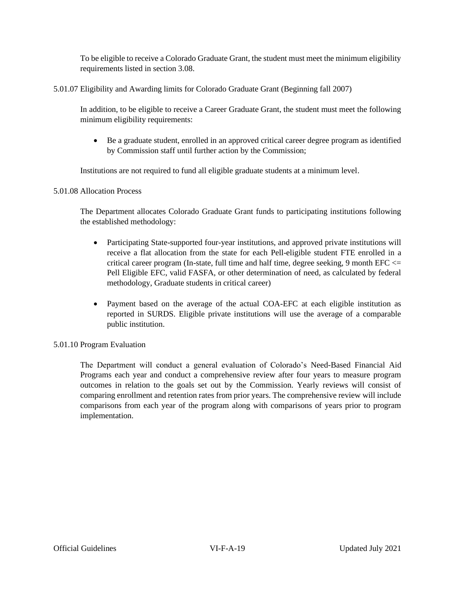To be eligible to receive a Colorado Graduate Grant, the student must meet the minimum eligibility requirements listed in section 3.08.

5.01.07 Eligibility and Awarding limits for Colorado Graduate Grant (Beginning fall 2007)

In addition, to be eligible to receive a Career Graduate Grant, the student must meet the following minimum eligibility requirements:

• Be a graduate student, enrolled in an approved critical career degree program as identified by Commission staff until further action by the Commission;

Institutions are not required to fund all eligible graduate students at a minimum level.

5.01.08 Allocation Process

The Department allocates Colorado Graduate Grant funds to participating institutions following the established methodology:

- Participating State-supported four-year institutions, and approved private institutions will receive a flat allocation from the state for each Pell-eligible student FTE enrolled in a critical career program (In-state, full time and half time, degree seeking, 9 month EFC  $\leq$ Pell Eligible EFC, valid FASFA, or other determination of need, as calculated by federal methodology, Graduate students in critical career)
- Payment based on the average of the actual COA-EFC at each eligible institution as reported in SURDS. Eligible private institutions will use the average of a comparable public institution.

5.01.10 Program Evaluation

<span id="page-18-0"></span>The Department will conduct a general evaluation of Colorado's Need-Based Financial Aid Programs each year and conduct a comprehensive review after four years to measure program outcomes in relation to the goals set out by the Commission. Yearly reviews will consist of comparing enrollment and retention rates from prior years. The comprehensive review will include comparisons from each year of the program along with comparisons of years prior to program implementation.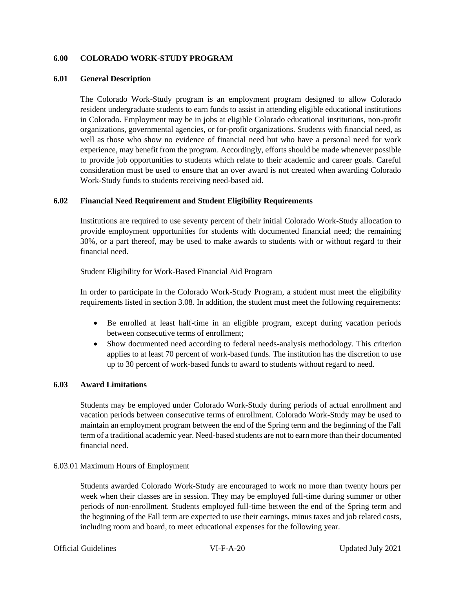## **6.00 COLORADO WORK-STUDY PROGRAM**

#### **6.01 General Description**

The Colorado Work-Study program is an employment program designed to allow Colorado resident undergraduate students to earn funds to assist in attending eligible educational institutions in Colorado. Employment may be in jobs at eligible Colorado educational institutions, non-profit organizations, governmental agencies, or for-profit organizations. Students with financial need, as well as those who show no evidence of financial need but who have a personal need for work experience, may benefit from the program. Accordingly, efforts should be made whenever possible to provide job opportunities to students which relate to their academic and career goals. Careful consideration must be used to ensure that an over award is not created when awarding Colorado Work-Study funds to students receiving need-based aid.

## **6.02 Financial Need Requirement and Student Eligibility Requirements**

Institutions are required to use seventy percent of their initial Colorado Work-Study allocation to provide employment opportunities for students with documented financial need; the remaining 30%, or a part thereof, may be used to make awards to students with or without regard to their financial need.

Student Eligibility for Work-Based Financial Aid Program

In order to participate in the Colorado Work-Study Program, a student must meet the eligibility requirements listed in section 3.08. In addition, the student must meet the following requirements:

- Be enrolled at least half-time in an eligible program, except during vacation periods between consecutive terms of enrollment;
- Show documented need according to federal needs-analysis methodology. This criterion applies to at least 70 percent of work-based funds. The institution has the discretion to use up to 30 percent of work-based funds to award to students without regard to need.

## **6.03 Award Limitations**

Students may be employed under Colorado Work-Study during periods of actual enrollment and vacation periods between consecutive terms of enrollment. Colorado Work-Study may be used to maintain an employment program between the end of the Spring term and the beginning of the Fall term of a traditional academic year. Need-based students are not to earn more than their documented financial need.

## 6.03.01 Maximum Hours of Employment

Students awarded Colorado Work-Study are encouraged to work no more than twenty hours per week when their classes are in session. They may be employed full-time during summer or other periods of non-enrollment. Students employed full-time between the end of the Spring term and the beginning of the Fall term are expected to use their earnings, minus taxes and job related costs, including room and board, to meet educational expenses for the following year.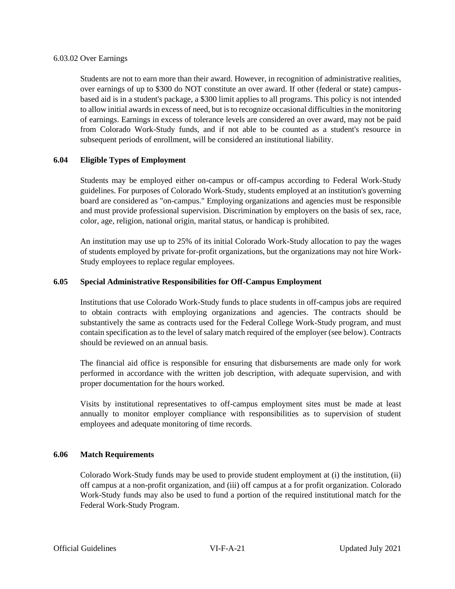#### 6.03.02 Over Earnings

Students are not to earn more than their award. However, in recognition of administrative realities, over earnings of up to \$300 do NOT constitute an over award. If other (federal or state) campusbased aid is in a student's package, a \$300 limit applies to all programs. This policy is not intended to allow initial awards in excess of need, but is to recognize occasional difficulties in the monitoring of earnings. Earnings in excess of tolerance levels are considered an over award, may not be paid from Colorado Work-Study funds, and if not able to be counted as a student's resource in subsequent periods of enrollment, will be considered an institutional liability.

## **6.04 Eligible Types of Employment**

Students may be employed either on-campus or off-campus according to Federal Work-Study guidelines. For purposes of Colorado Work-Study, students employed at an institution's governing board are considered as "on-campus." Employing organizations and agencies must be responsible and must provide professional supervision. Discrimination by employers on the basis of sex, race, color, age, religion, national origin, marital status, or handicap is prohibited.

An institution may use up to 25% of its initial Colorado Work-Study allocation to pay the wages of students employed by private for-profit organizations, but the organizations may not hire Work-Study employees to replace regular employees.

## **6.05 Special Administrative Responsibilities for Off-Campus Employment**

Institutions that use Colorado Work-Study funds to place students in off-campus jobs are required to obtain contracts with employing organizations and agencies. The contracts should be substantively the same as contracts used for the Federal College Work-Study program, and must contain specification as to the level of salary match required of the employer (see below). Contracts should be reviewed on an annual basis.

The financial aid office is responsible for ensuring that disbursements are made only for work performed in accordance with the written job description, with adequate supervision, and with proper documentation for the hours worked.

Visits by institutional representatives to off-campus employment sites must be made at least annually to monitor employer compliance with responsibilities as to supervision of student employees and adequate monitoring of time records.

## **6.06 Match Requirements**

Colorado Work-Study funds may be used to provide student employment at (i) the institution, (ii) off campus at a non-profit organization, and (iii) off campus at a for profit organization. Colorado Work-Study funds may also be used to fund a portion of the required institutional match for the Federal Work-Study Program.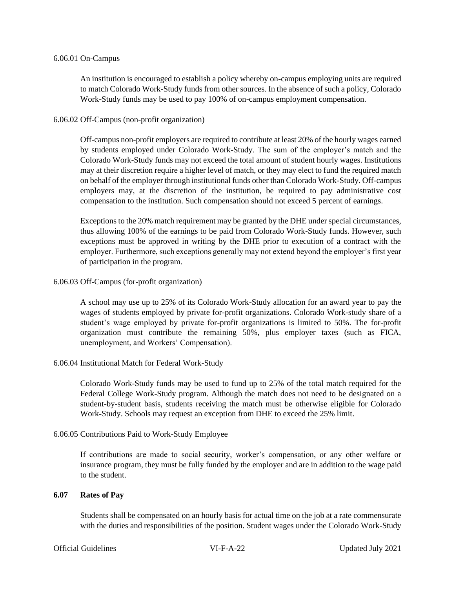#### 6.06.01 On-Campus

An institution is encouraged to establish a policy whereby on-campus employing units are required to match Colorado Work-Study funds from other sources. In the absence of such a policy, Colorado Work-Study funds may be used to pay 100% of on-campus employment compensation.

#### 6.06.02 Off-Campus (non-profit organization)

Off-campus non-profit employers are required to contribute at least 20% of the hourly wages earned by students employed under Colorado Work-Study. The sum of the employer's match and the Colorado Work-Study funds may not exceed the total amount of student hourly wages. Institutions may at their discretion require a higher level of match, or they may elect to fund the required match on behalf of the employer through institutional funds other than Colorado Work-Study. Off-campus employers may, at the discretion of the institution, be required to pay administrative cost compensation to the institution. Such compensation should not exceed 5 percent of earnings.

Exceptions to the 20% match requirement may be granted by the DHE under special circumstances, thus allowing 100% of the earnings to be paid from Colorado Work-Study funds. However, such exceptions must be approved in writing by the DHE prior to execution of a contract with the employer. Furthermore, such exceptions generally may not extend beyond the employer's first year of participation in the program.

## 6.06.03 Off-Campus (for-profit organization)

A school may use up to 25% of its Colorado Work-Study allocation for an award year to pay the wages of students employed by private for-profit organizations. Colorado Work-study share of a student's wage employed by private for-profit organizations is limited to 50%. The for-profit organization must contribute the remaining 50%, plus employer taxes (such as FICA, unemployment, and Workers' Compensation).

## 6.06.04 Institutional Match for Federal Work-Study

Colorado Work-Study funds may be used to fund up to 25% of the total match required for the Federal College Work-Study program. Although the match does not need to be designated on a student-by-student basis, students receiving the match must be otherwise eligible for Colorado Work-Study. Schools may request an exception from DHE to exceed the 25% limit.

## 6.06.05 Contributions Paid to Work-Study Employee

If contributions are made to social security, worker's compensation, or any other welfare or insurance program, they must be fully funded by the employer and are in addition to the wage paid to the student.

## **6.07 Rates of Pay**

Students shall be compensated on an hourly basis for actual time on the job at a rate commensurate with the duties and responsibilities of the position. Student wages under the Colorado Work-Study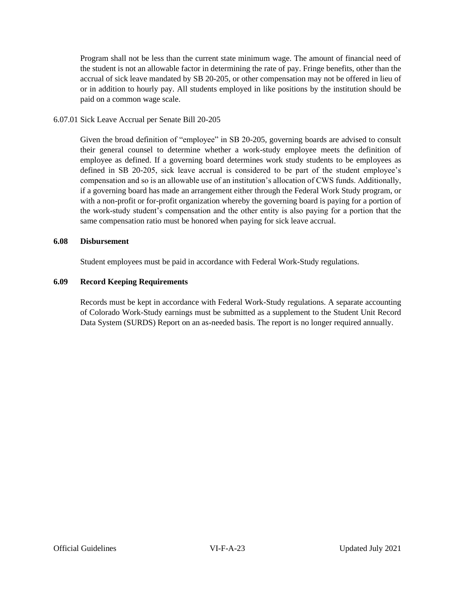Program shall not be less than the current state minimum wage. The amount of financial need of the student is not an allowable factor in determining the rate of pay. Fringe benefits, other than the accrual of sick leave mandated by SB 20-205, or other compensation may not be offered in lieu of or in addition to hourly pay. All students employed in like positions by the institution should be paid on a common wage scale.

## 6.07.01 Sick Leave Accrual per Senate Bill 20-205

Given the broad definition of "employee" in SB 20-205, governing boards are advised to consult their general counsel to determine whether a work-study employee meets the definition of employee as defined. If a governing board determines work study students to be employees as defined in SB 20-205, sick leave accrual is considered to be part of the student employee's compensation and so is an allowable use of an institution's allocation of CWS funds. Additionally, if a governing board has made an arrangement either through the Federal Work Study program, or with a non-profit or for-profit organization whereby the governing board is paying for a portion of the work-study student's compensation and the other entity is also paying for a portion that the same compensation ratio must be honored when paying for sick leave accrual.

#### **6.08 Disbursement**

Student employees must be paid in accordance with Federal Work-Study regulations.

## **6.09 Record Keeping Requirements**

<span id="page-22-0"></span>Records must be kept in accordance with Federal Work-Study regulations. A separate accounting of Colorado Work-Study earnings must be submitted as a supplement to the Student Unit Record Data System (SURDS) Report on an as-needed basis. The report is no longer required annually.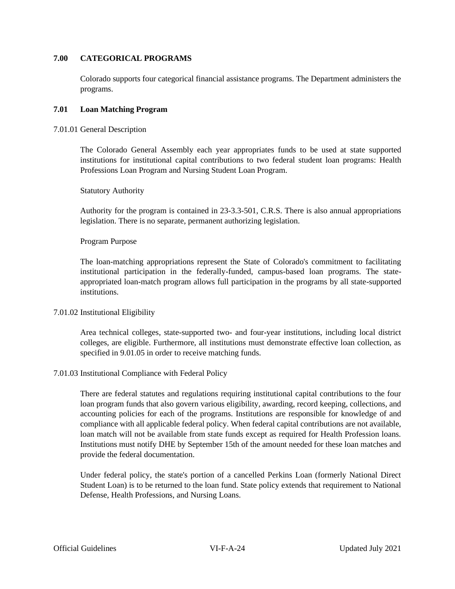## **7.00 CATEGORICAL PROGRAMS**

Colorado supports four categorical financial assistance programs. The Department administers the programs.

## **7.01 Loan Matching Program**

## 7.01.01 General Description

The Colorado General Assembly each year appropriates funds to be used at state supported institutions for institutional capital contributions to two federal student loan programs: Health Professions Loan Program and Nursing Student Loan Program.

## Statutory Authority

Authority for the program is contained in 23-3.3-501, C.R.S. There is also annual appropriations legislation. There is no separate, permanent authorizing legislation.

## Program Purpose

The loan-matching appropriations represent the State of Colorado's commitment to facilitating institutional participation in the federally-funded, campus-based loan programs. The stateappropriated loan-match program allows full participation in the programs by all state-supported institutions.

## 7.01.02 Institutional Eligibility

Area technical colleges, state-supported two- and four-year institutions, including local district colleges, are eligible. Furthermore, all institutions must demonstrate effective loan collection, as specified in 9.01.05 in order to receive matching funds.

## 7.01.03 Institutional Compliance with Federal Policy

There are federal statutes and regulations requiring institutional capital contributions to the four loan program funds that also govern various eligibility, awarding, record keeping, collections, and accounting policies for each of the programs. Institutions are responsible for knowledge of and compliance with all applicable federal policy. When federal capital contributions are not available, loan match will not be available from state funds except as required for Health Profession loans. Institutions must notify DHE by September 15th of the amount needed for these loan matches and provide the federal documentation.

Under federal policy, the state's portion of a cancelled Perkins Loan (formerly National Direct Student Loan) is to be returned to the loan fund. State policy extends that requirement to National Defense, Health Professions, and Nursing Loans.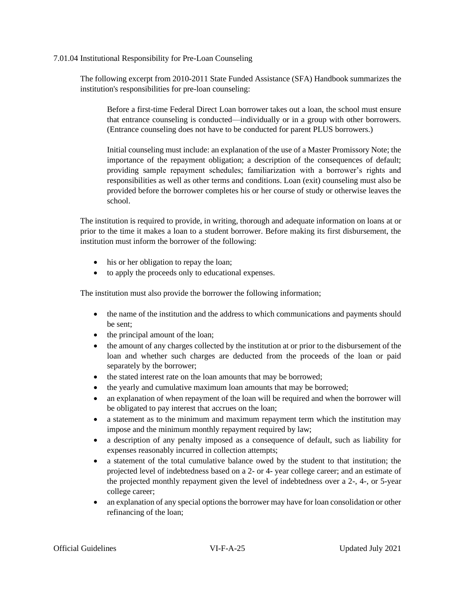## 7.01.04 Institutional Responsibility for Pre-Loan Counseling

The following excerpt from 2010-2011 State Funded Assistance (SFA) Handbook summarizes the institution's responsibilities for pre-loan counseling:

Before a first-time Federal Direct Loan borrower takes out a loan, the school must ensure that entrance counseling is conducted—individually or in a group with other borrowers. (Entrance counseling does not have to be conducted for parent PLUS borrowers.)

Initial counseling must include: an explanation of the use of a Master Promissory Note; the importance of the repayment obligation; a description of the consequences of default; providing sample repayment schedules; familiarization with a borrower's rights and responsibilities as well as other terms and conditions. Loan (exit) counseling must also be provided before the borrower completes his or her course of study or otherwise leaves the school.

The institution is required to provide, in writing, thorough and adequate information on loans at or prior to the time it makes a loan to a student borrower. Before making its first disbursement, the institution must inform the borrower of the following:

- his or her obligation to repay the loan;
- to apply the proceeds only to educational expenses.

The institution must also provide the borrower the following information;

- the name of the institution and the address to which communications and payments should be sent;
- the principal amount of the loan;
- the amount of any charges collected by the institution at or prior to the disbursement of the loan and whether such charges are deducted from the proceeds of the loan or paid separately by the borrower;
- the stated interest rate on the loan amounts that may be borrowed;
- the yearly and cumulative maximum loan amounts that may be borrowed;
- an explanation of when repayment of the loan will be required and when the borrower will be obligated to pay interest that accrues on the loan;
- a statement as to the minimum and maximum repayment term which the institution may impose and the minimum monthly repayment required by law;
- a description of any penalty imposed as a consequence of default, such as liability for expenses reasonably incurred in collection attempts;
- a statement of the total cumulative balance owed by the student to that institution; the projected level of indebtedness based on a 2- or 4- year college career; and an estimate of the projected monthly repayment given the level of indebtedness over a 2-, 4-, or 5-year college career;
- an explanation of any special options the borrower may have for loan consolidation or other refinancing of the loan;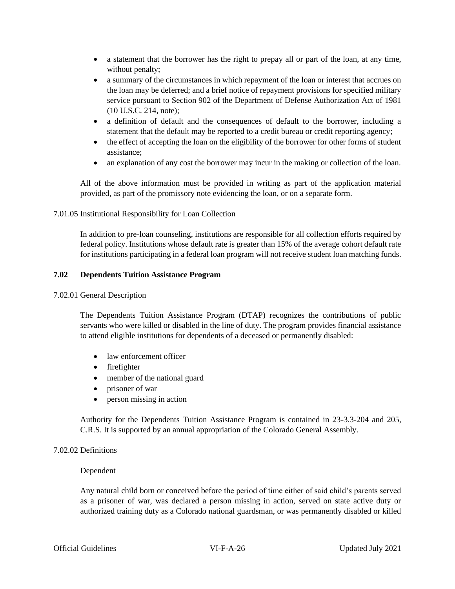- a statement that the borrower has the right to prepay all or part of the loan, at any time, without penalty;
- a summary of the circumstances in which repayment of the loan or interest that accrues on the loan may be deferred; and a brief notice of repayment provisions for specified military service pursuant to Section 902 of the Department of Defense Authorization Act of 1981 (10 U.S.C. 214, note);
- a definition of default and the consequences of default to the borrower, including a statement that the default may be reported to a credit bureau or credit reporting agency;
- the effect of accepting the loan on the eligibility of the borrower for other forms of student assistance;
- an explanation of any cost the borrower may incur in the making or collection of the loan.

All of the above information must be provided in writing as part of the application material provided, as part of the promissory note evidencing the loan, or on a separate form.

## 7.01.05 Institutional Responsibility for Loan Collection

In addition to pre-loan counseling, institutions are responsible for all collection efforts required by federal policy. Institutions whose default rate is greater than 15% of the average cohort default rate for institutions participating in a federal loan program will not receive student loan matching funds.

## **7.02 Dependents Tuition Assistance Program**

## 7.02.01 General Description

The Dependents Tuition Assistance Program (DTAP) recognizes the contributions of public servants who were killed or disabled in the line of duty. The program provides financial assistance to attend eligible institutions for dependents of a deceased or permanently disabled:

- law enforcement officer
- firefighter
- member of the national guard
- prisoner of war
- person missing in action

Authority for the Dependents Tuition Assistance Program is contained in 23-3.3-204 and 205, C.R.S. It is supported by an annual appropriation of the Colorado General Assembly.

## 7.02.02 Definitions

## Dependent

Any natural child born or conceived before the period of time either of said child's parents served as a prisoner of war, was declared a person missing in action, served on state active duty or authorized training duty as a Colorado national guardsman, or was permanently disabled or killed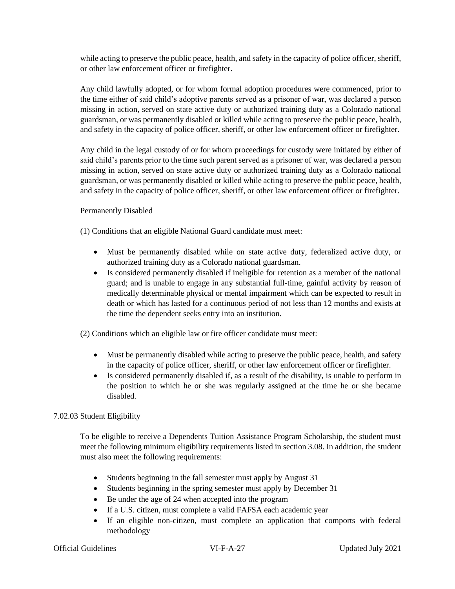while acting to preserve the public peace, health, and safety in the capacity of police officer, sheriff, or other law enforcement officer or firefighter.

Any child lawfully adopted, or for whom formal adoption procedures were commenced, prior to the time either of said child's adoptive parents served as a prisoner of war, was declared a person missing in action, served on state active duty or authorized training duty as a Colorado national guardsman, or was permanently disabled or killed while acting to preserve the public peace, health, and safety in the capacity of police officer, sheriff, or other law enforcement officer or firefighter.

Any child in the legal custody of or for whom proceedings for custody were initiated by either of said child's parents prior to the time such parent served as a prisoner of war, was declared a person missing in action, served on state active duty or authorized training duty as a Colorado national guardsman, or was permanently disabled or killed while acting to preserve the public peace, health, and safety in the capacity of police officer, sheriff, or other law enforcement officer or firefighter.

## Permanently Disabled

(1) Conditions that an eligible National Guard candidate must meet:

- Must be permanently disabled while on state active duty, federalized active duty, or authorized training duty as a Colorado national guardsman.
- Is considered permanently disabled if ineligible for retention as a member of the national guard; and is unable to engage in any substantial full-time, gainful activity by reason of medically determinable physical or mental impairment which can be expected to result in death or which has lasted for a continuous period of not less than 12 months and exists at the time the dependent seeks entry into an institution.

(2) Conditions which an eligible law or fire officer candidate must meet:

- Must be permanently disabled while acting to preserve the public peace, health, and safety in the capacity of police officer, sheriff, or other law enforcement officer or firefighter.
- Is considered permanently disabled if, as a result of the disability, is unable to perform in the position to which he or she was regularly assigned at the time he or she became disabled.

## 7.02.03 Student Eligibility

To be eligible to receive a Dependents Tuition Assistance Program Scholarship, the student must meet the following minimum eligibility requirements listed in section 3.08. In addition, the student must also meet the following requirements:

- Students beginning in the fall semester must apply by August 31
- Students beginning in the spring semester must apply by December 31
- Be under the age of 24 when accepted into the program
- If a U.S. citizen, must complete a valid FAFSA each academic year
- If an eligible non-citizen, must complete an application that comports with federal methodology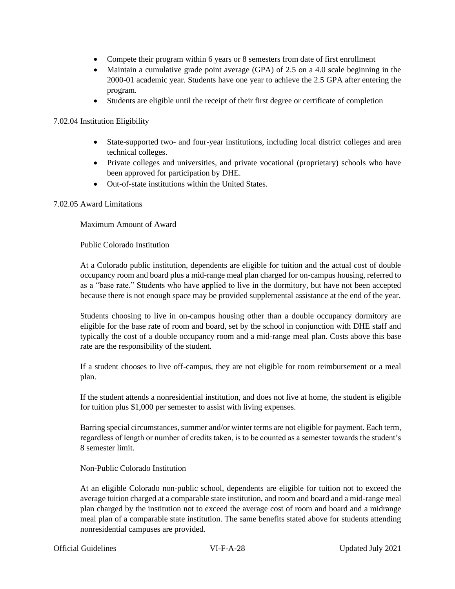- Compete their program within 6 years or 8 semesters from date of first enrollment
- Maintain a cumulative grade point average (GPA) of 2.5 on a 4.0 scale beginning in the 2000-01 academic year. Students have one year to achieve the 2.5 GPA after entering the program.
- Students are eligible until the receipt of their first degree or certificate of completion

7.02.04 Institution Eligibility

- State-supported two- and four-year institutions, including local district colleges and area technical colleges.
- Private colleges and universities, and private vocational (proprietary) schools who have been approved for participation by DHE.
- Out-of-state institutions within the United States.

## 7.02.05 Award Limitations

Maximum Amount of Award

Public Colorado Institution

At a Colorado public institution, dependents are eligible for tuition and the actual cost of double occupancy room and board plus a mid-range meal plan charged for on-campus housing, referred to as a "base rate." Students who have applied to live in the dormitory, but have not been accepted because there is not enough space may be provided supplemental assistance at the end of the year.

Students choosing to live in on-campus housing other than a double occupancy dormitory are eligible for the base rate of room and board, set by the school in conjunction with DHE staff and typically the cost of a double occupancy room and a mid-range meal plan. Costs above this base rate are the responsibility of the student.

If a student chooses to live off-campus, they are not eligible for room reimbursement or a meal plan.

If the student attends a nonresidential institution, and does not live at home, the student is eligible for tuition plus \$1,000 per semester to assist with living expenses.

Barring special circumstances, summer and/or winter terms are not eligible for payment. Each term, regardless of length or number of credits taken, is to be counted as a semester towards the student's 8 semester limit.

Non-Public Colorado Institution

At an eligible Colorado non-public school, dependents are eligible for tuition not to exceed the average tuition charged at a comparable state institution, and room and board and a mid-range meal plan charged by the institution not to exceed the average cost of room and board and a midrange meal plan of a comparable state institution. The same benefits stated above for students attending nonresidential campuses are provided.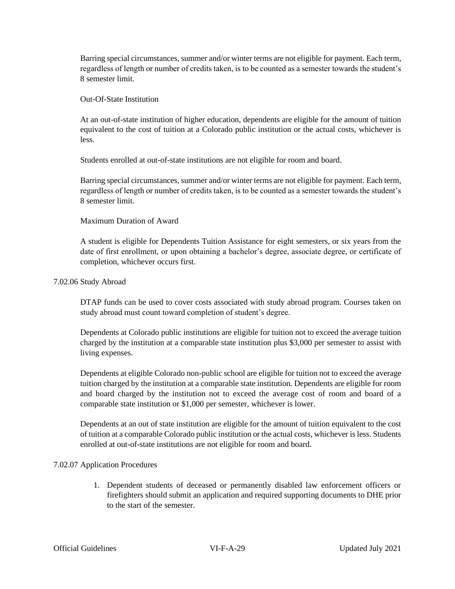Barring special circumstances, summer and/or winter terms are not eligible for payment. Each term, regardless of length or number of credits taken, is to be counted as a semester towards the student's 8 semester limit.

## Out-Of-State Institution

At an out-of-state institution of higher education, dependents are eligible for the amount of tuition equivalent to the cost of tuition at a Colorado public institution or the actual costs, whichever is less.

Students enrolled at out-of-state institutions are not eligible for room and board.

Barring special circumstances, summer and/or winter terms are not eligible for payment. Each term, regardless of length or number of credits taken, is to be counted as a semester towards the student's 8 semester limit.

## Maximum Duration of Award

A student is eligible for Dependents Tuition Assistance for eight semesters, or six years from the date of first enrollment, or upon obtaining a bachelor's degree, associate degree, or certificate of completion, whichever occurs first.

#### 7.02.06 Study Abroad

DTAP funds can be used to cover costs associated with study abroad program. Courses taken on study abroad must count toward completion of student's degree.

Dependents at Colorado public institutions are eligible for tuition not to exceed the average tuition charged by the institution at a comparable state institution plus \$3,000 per semester to assist with living expenses.

Dependents at eligible Colorado non-public school are eligible for tuition not to exceed the average tuition charged by the institution at a comparable state institution. Dependents are eligible for room and board charged by the institution not to exceed the average cost of room and board of a comparable state institution or \$1,000 per semester, whichever is lower.

Dependents at an out of state institution are eligible for the amount of tuition equivalent to the cost of tuition at a comparable Colorado public institution or the actual costs, whichever is less. Students enrolled at out-of-state institutions are not eligible for room and board.

## 7.02.07 Application Procedures

1. Dependent students of deceased or permanently disabled law enforcement officers or firefighters should submit an application and required supporting documents to DHE prior to the start of the semester.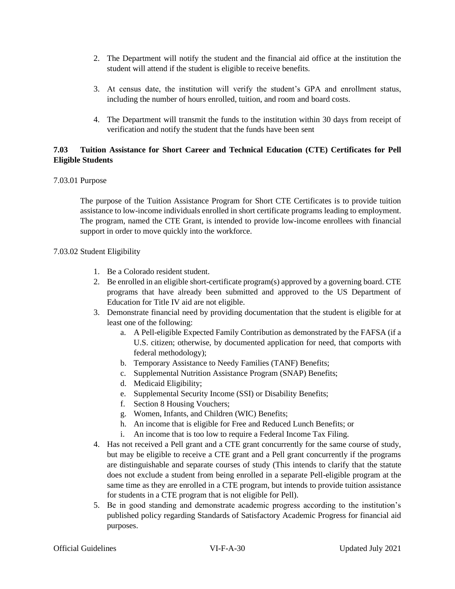- 2. The Department will notify the student and the financial aid office at the institution the student will attend if the student is eligible to receive benefits.
- 3. At census date, the institution will verify the student's GPA and enrollment status, including the number of hours enrolled, tuition, and room and board costs.
- 4. The Department will transmit the funds to the institution within 30 days from receipt of verification and notify the student that the funds have been sent

## **7.03 Tuition Assistance for Short Career and Technical Education (CTE) Certificates for Pell Eligible Students**

## 7.03.01 Purpose

The purpose of the Tuition Assistance Program for Short CTE Certificates is to provide tuition assistance to low-income individuals enrolled in short certificate programs leading to employment. The program, named the CTE Grant, is intended to provide low-income enrollees with financial support in order to move quickly into the workforce.

## 7.03.02 Student Eligibility

- 1. Be a Colorado resident student.
- 2. Be enrolled in an eligible short-certificate program(s) approved by a governing board. CTE programs that have already been submitted and approved to the US Department of Education for Title IV aid are not eligible.
- 3. Demonstrate financial need by providing documentation that the student is eligible for at least one of the following:
	- a. A Pell-eligible Expected Family Contribution as demonstrated by the FAFSA (if a U.S. citizen; otherwise, by documented application for need, that comports with federal methodology);
	- b. Temporary Assistance to Needy Families (TANF) Benefits;
	- c. Supplemental Nutrition Assistance Program (SNAP) Benefits;
	- d. Medicaid Eligibility;
	- e. Supplemental Security Income (SSI) or Disability Benefits;
	- f. Section 8 Housing Vouchers;
	- g. Women, Infants, and Children (WIC) Benefits;
	- h. An income that is eligible for Free and Reduced Lunch Benefits; or
	- i. An income that is too low to require a Federal Income Tax Filing.
- 4. Has not received a Pell grant and a CTE grant concurrently for the same course of study, but may be eligible to receive a CTE grant and a Pell grant concurrently if the programs are distinguishable and separate courses of study (This intends to clarify that the statute does not exclude a student from being enrolled in a separate Pell-eligible program at the same time as they are enrolled in a CTE program, but intends to provide tuition assistance for students in a CTE program that is not eligible for Pell).
- 5. Be in good standing and demonstrate academic progress according to the institution's published policy regarding Standards of Satisfactory Academic Progress for financial aid purposes.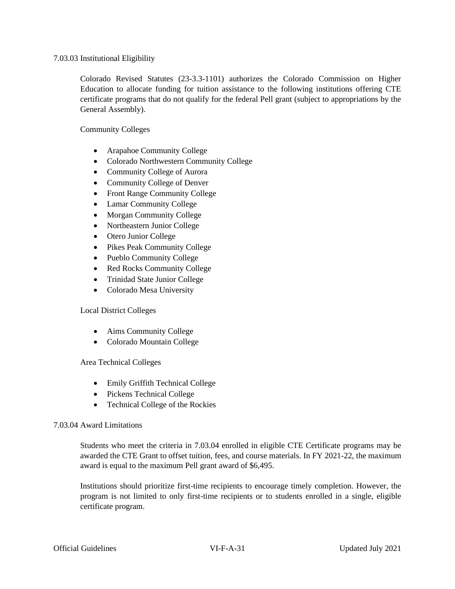## 7.03.03 Institutional Eligibility

Colorado Revised Statutes (23-3.3-1101) authorizes the Colorado Commission on Higher Education to allocate funding for tuition assistance to the following institutions offering CTE certificate programs that do not qualify for the federal Pell grant (subject to appropriations by the General Assembly).

Community Colleges

- Arapahoe Community College
- Colorado Northwestern Community College
- Community College of Aurora
- Community College of Denver
- Front Range Community College
- Lamar Community College
- Morgan Community College
- Northeastern Junior College
- Otero Junior College
- Pikes Peak Community College
- Pueblo Community College
- Red Rocks Community College
- Trinidad State Junior College
- Colorado Mesa University

## Local District Colleges

- Aims Community College
- Colorado Mountain College

Area Technical Colleges

- Emily Griffith Technical College
- Pickens Technical College
- Technical College of the Rockies

## 7.03.04 Award Limitations

Students who meet the criteria in 7.03.04 enrolled in eligible CTE Certificate programs may be awarded the CTE Grant to offset tuition, fees, and course materials. In FY 2021-22, the maximum award is equal to the maximum Pell grant award of \$6,495.

Institutions should prioritize first-time recipients to encourage timely completion. However, the program is not limited to only first-time recipients or to students enrolled in a single, eligible certificate program.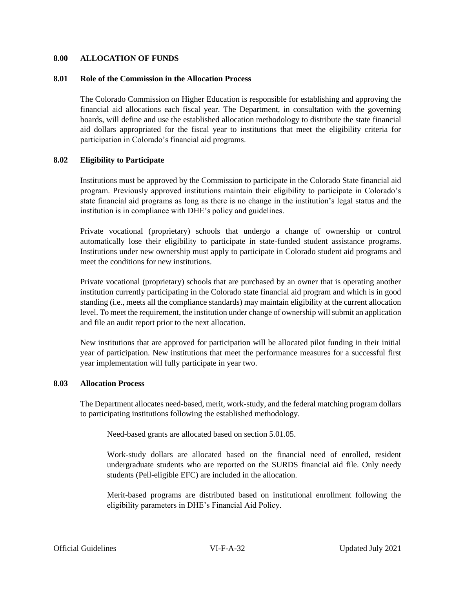#### <span id="page-31-0"></span>**8.00 ALLOCATION OF FUNDS**

#### **8.01 Role of the Commission in the Allocation Process**

The Colorado Commission on Higher Education is responsible for establishing and approving the financial aid allocations each fiscal year. The Department, in consultation with the governing boards, will define and use the established allocation methodology to distribute the state financial aid dollars appropriated for the fiscal year to institutions that meet the eligibility criteria for participation in Colorado's financial aid programs.

#### **8.02 Eligibility to Participate**

Institutions must be approved by the Commission to participate in the Colorado State financial aid program. Previously approved institutions maintain their eligibility to participate in Colorado's state financial aid programs as long as there is no change in the institution's legal status and the institution is in compliance with DHE's policy and guidelines.

Private vocational (proprietary) schools that undergo a change of ownership or control automatically lose their eligibility to participate in state-funded student assistance programs. Institutions under new ownership must apply to participate in Colorado student aid programs and meet the conditions for new institutions.

Private vocational (proprietary) schools that are purchased by an owner that is operating another institution currently participating in the Colorado state financial aid program and which is in good standing (i.e., meets all the compliance standards) may maintain eligibility at the current allocation level. To meet the requirement, the institution under change of ownership will submit an application and file an audit report prior to the next allocation.

New institutions that are approved for participation will be allocated pilot funding in their initial year of participation. New institutions that meet the performance measures for a successful first year implementation will fully participate in year two.

#### **8.03 Allocation Process**

The Department allocates need-based, merit, work-study, and the federal matching program dollars to participating institutions following the established methodology.

Need-based grants are allocated based on section 5.01.05.

Work-study dollars are allocated based on the financial need of enrolled, resident undergraduate students who are reported on the SURDS financial aid file. Only needy students (Pell-eligible EFC) are included in the allocation.

Merit-based programs are distributed based on institutional enrollment following the eligibility parameters in DHE's Financial Aid Policy.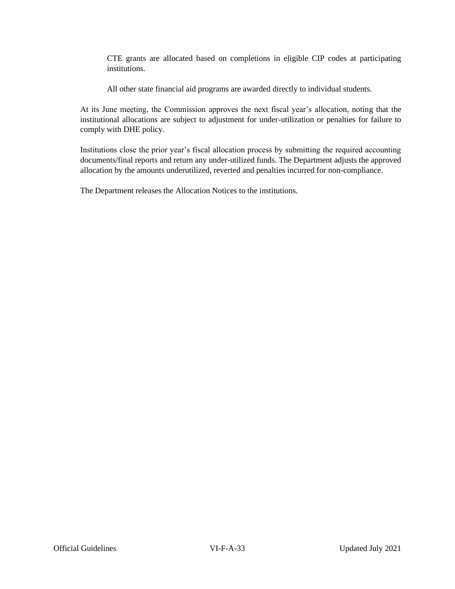CTE grants are allocated based on completions in eligible CIP codes at participating institutions.

All other state financial aid programs are awarded directly to individual students.

At its June meeting, the Commission approves the next fiscal year's allocation, noting that the institutional allocations are subject to adjustment for under-utilization or penalties for failure to comply with DHE policy.

Institutions close the prior year's fiscal allocation process by submitting the required accounting documents/final reports and return any under-utilized funds. The Department adjusts the approved allocation by the amounts underutilized, reverted and penalties incurred for non-compliance.

<span id="page-32-0"></span>The Department releases the Allocation Notices to the institutions.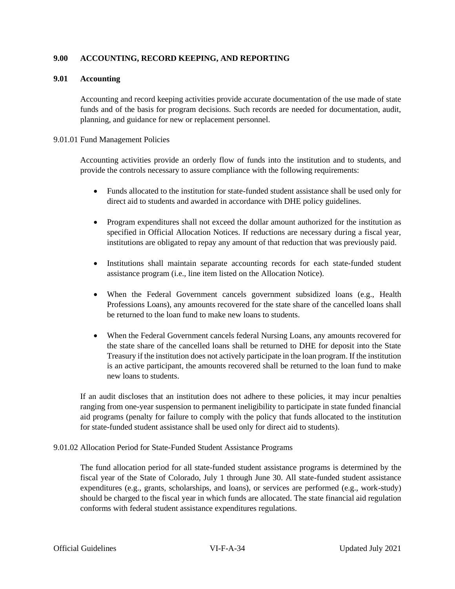## **9.00 ACCOUNTING, RECORD KEEPING, AND REPORTING**

## **9.01 Accounting**

Accounting and record keeping activities provide accurate documentation of the use made of state funds and of the basis for program decisions. Such records are needed for documentation, audit, planning, and guidance for new or replacement personnel.

#### 9.01.01 Fund Management Policies

Accounting activities provide an orderly flow of funds into the institution and to students, and provide the controls necessary to assure compliance with the following requirements:

- Funds allocated to the institution for state-funded student assistance shall be used only for direct aid to students and awarded in accordance with DHE policy guidelines.
- Program expenditures shall not exceed the dollar amount authorized for the institution as specified in Official Allocation Notices. If reductions are necessary during a fiscal year, institutions are obligated to repay any amount of that reduction that was previously paid.
- Institutions shall maintain separate accounting records for each state-funded student assistance program (i.e., line item listed on the Allocation Notice).
- When the Federal Government cancels government subsidized loans (e.g., Health Professions Loans), any amounts recovered for the state share of the cancelled loans shall be returned to the loan fund to make new loans to students.
- When the Federal Government cancels federal Nursing Loans, any amounts recovered for the state share of the cancelled loans shall be returned to DHE for deposit into the State Treasury if the institution does not actively participate in the loan program. If the institution is an active participant, the amounts recovered shall be returned to the loan fund to make new loans to students.

If an audit discloses that an institution does not adhere to these policies, it may incur penalties ranging from one-year suspension to permanent ineligibility to participate in state funded financial aid programs (penalty for failure to comply with the policy that funds allocated to the institution for state-funded student assistance shall be used only for direct aid to students).

## 9.01.02 Allocation Period for State-Funded Student Assistance Programs

The fund allocation period for all state-funded student assistance programs is determined by the fiscal year of the State of Colorado, July 1 through June 30. All state-funded student assistance expenditures (e.g., grants, scholarships, and loans), or services are performed (e.g., work-study) should be charged to the fiscal year in which funds are allocated. The state financial aid regulation conforms with federal student assistance expenditures regulations.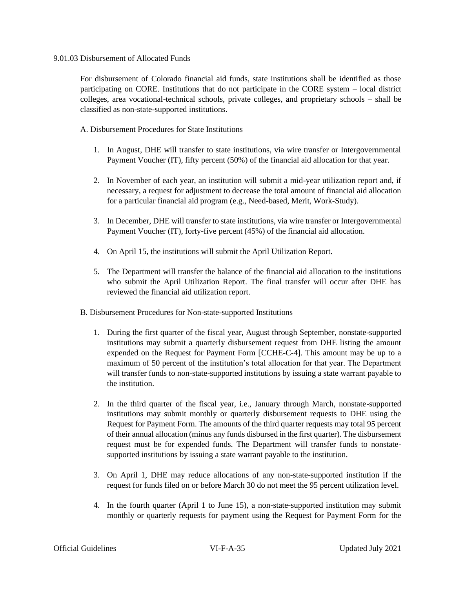#### 9.01.03 Disbursement of Allocated Funds

For disbursement of Colorado financial aid funds, state institutions shall be identified as those participating on CORE. Institutions that do not participate in the CORE system – local district colleges, area vocational-technical schools, private colleges, and proprietary schools – shall be classified as non-state-supported institutions.

A. Disbursement Procedures for State Institutions

- 1. In August, DHE will transfer to state institutions, via wire transfer or Intergovernmental Payment Voucher (IT), fifty percent (50%) of the financial aid allocation for that year.
- 2. In November of each year, an institution will submit a mid-year utilization report and, if necessary, a request for adjustment to decrease the total amount of financial aid allocation for a particular financial aid program (e.g., Need-based, Merit, Work-Study).
- 3. In December, DHE will transfer to state institutions, via wire transfer or Intergovernmental Payment Voucher (IT), forty-five percent (45%) of the financial aid allocation.
- 4. On April 15, the institutions will submit the April Utilization Report.
- 5. The Department will transfer the balance of the financial aid allocation to the institutions who submit the April Utilization Report. The final transfer will occur after DHE has reviewed the financial aid utilization report.
- B. Disbursement Procedures for Non-state-supported Institutions
	- 1. During the first quarter of the fiscal year, August through September, nonstate-supported institutions may submit a quarterly disbursement request from DHE listing the amount expended on the Request for Payment Form [CCHE-C-4]. This amount may be up to a maximum of 50 percent of the institution's total allocation for that year. The Department will transfer funds to non-state-supported institutions by issuing a state warrant payable to the institution.
	- 2. In the third quarter of the fiscal year, i.e., January through March, nonstate-supported institutions may submit monthly or quarterly disbursement requests to DHE using the Request for Payment Form. The amounts of the third quarter requests may total 95 percent of their annual allocation (minus any funds disbursed in the first quarter). The disbursement request must be for expended funds. The Department will transfer funds to nonstatesupported institutions by issuing a state warrant payable to the institution.
	- 3. On April 1, DHE may reduce allocations of any non-state-supported institution if the request for funds filed on or before March 30 do not meet the 95 percent utilization level.
	- 4. In the fourth quarter (April 1 to June 15), a non-state-supported institution may submit monthly or quarterly requests for payment using the Request for Payment Form for the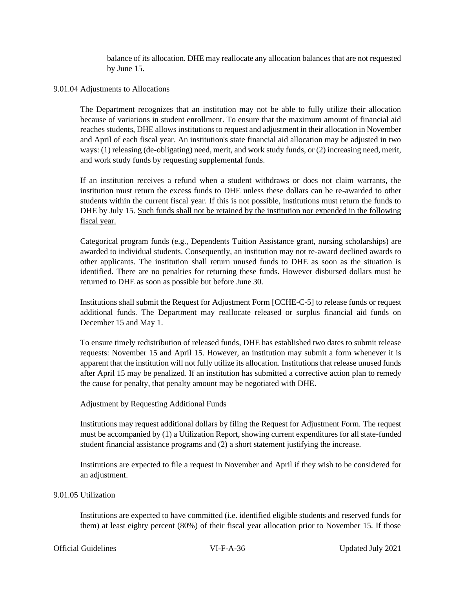balance of its allocation. DHE may reallocate any allocation balances that are not requested by June 15.

#### 9.01.04 Adjustments to Allocations

The Department recognizes that an institution may not be able to fully utilize their allocation because of variations in student enrollment. To ensure that the maximum amount of financial aid reaches students, DHE allows institutions to request and adjustment in their allocation in November and April of each fiscal year. An institution's state financial aid allocation may be adjusted in two ways: (1) releasing (de-obligating) need, merit, and work study funds, or (2) increasing need, merit, and work study funds by requesting supplemental funds.

If an institution receives a refund when a student withdraws or does not claim warrants, the institution must return the excess funds to DHE unless these dollars can be re-awarded to other students within the current fiscal year. If this is not possible, institutions must return the funds to DHE by July 15. Such funds shall not be retained by the institution nor expended in the following fiscal year.

Categorical program funds (e.g., Dependents Tuition Assistance grant, nursing scholarships) are awarded to individual students. Consequently, an institution may not re-award declined awards to other applicants. The institution shall return unused funds to DHE as soon as the situation is identified. There are no penalties for returning these funds. However disbursed dollars must be returned to DHE as soon as possible but before June 30.

Institutions shall submit the Request for Adjustment Form [CCHE-C-5] to release funds or request additional funds. The Department may reallocate released or surplus financial aid funds on December 15 and May 1.

To ensure timely redistribution of released funds, DHE has established two dates to submit release requests: November 15 and April 15. However, an institution may submit a form whenever it is apparent that the institution will not fully utilize its allocation. Institutions that release unused funds after April 15 may be penalized. If an institution has submitted a corrective action plan to remedy the cause for penalty, that penalty amount may be negotiated with DHE.

## Adjustment by Requesting Additional Funds

Institutions may request additional dollars by filing the Request for Adjustment Form*.* The request must be accompanied by (1) a Utilization Report, showing current expenditures for all state-funded student financial assistance programs and (2) a short statement justifying the increase.

Institutions are expected to file a request in November and April if they wish to be considered for an adjustment.

## 9.01.05 Utilization

Institutions are expected to have committed (i.e. identified eligible students and reserved funds for them) at least eighty percent (80%) of their fiscal year allocation prior to November 15. If those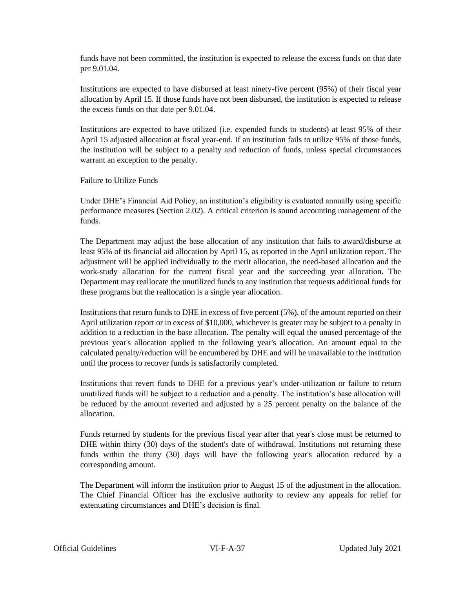funds have not been committed, the institution is expected to release the excess funds on that date per 9.01.04.

Institutions are expected to have disbursed at least ninety-five percent (95%) of their fiscal year allocation by April 15. If those funds have not been disbursed, the institution is expected to release the excess funds on that date per 9.01.04.

Institutions are expected to have utilized (i.e. expended funds to students) at least 95% of their April 15 adjusted allocation at fiscal year-end. If an institution fails to utilize 95% of those funds, the institution will be subject to a penalty and reduction of funds, unless special circumstances warrant an exception to the penalty.

Failure to Utilize Funds

Under DHE's Financial Aid Policy, an institution's eligibility is evaluated annually using specific performance measures (Section 2.02). A critical criterion is sound accounting management of the funds.

The Department may adjust the base allocation of any institution that fails to award/disburse at least 95% of its financial aid allocation by April 15, as reported in the April utilization report. The adjustment will be applied individually to the merit allocation, the need-based allocation and the work-study allocation for the current fiscal year and the succeeding year allocation. The Department may reallocate the unutilized funds to any institution that requests additional funds for these programs but the reallocation is a single year allocation.

Institutions that return funds to DHE in excess of five percent (5%), of the amount reported on their April utilization report or in excess of \$10,000, whichever is greater may be subject to a penalty in addition to a reduction in the base allocation. The penalty will equal the unused percentage of the previous year's allocation applied to the following year's allocation. An amount equal to the calculated penalty/reduction will be encumbered by DHE and will be unavailable to the institution until the process to recover funds is satisfactorily completed.

Institutions that revert funds to DHE for a previous year's under-utilization or failure to return unutilized funds will be subject to a reduction and a penalty. The institution's base allocation will be reduced by the amount reverted and adjusted by a 25 percent penalty on the balance of the allocation.

Funds returned by students for the previous fiscal year after that year's close must be returned to DHE within thirty (30) days of the student's date of withdrawal. Institutions not returning these funds within the thirty (30) days will have the following year's allocation reduced by a corresponding amount.

The Department will inform the institution prior to August 15 of the adjustment in the allocation. The Chief Financial Officer has the exclusive authority to review any appeals for relief for extenuating circumstances and DHE's decision is final.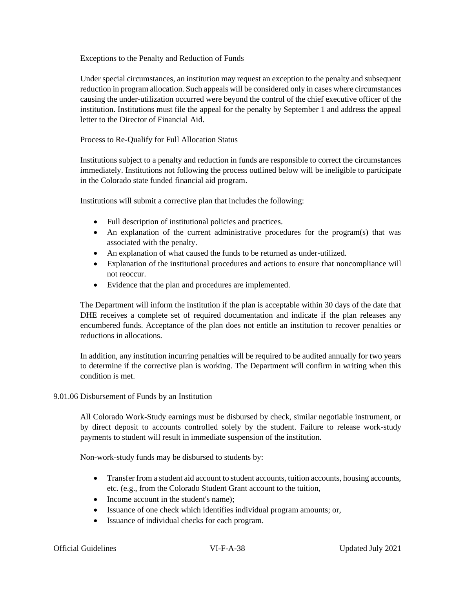Exceptions to the Penalty and Reduction of Funds

Under special circumstances, an institution may request an exception to the penalty and subsequent reduction in program allocation. Such appeals will be considered only in cases where circumstances causing the under-utilization occurred were beyond the control of the chief executive officer of the institution. Institutions must file the appeal for the penalty by September 1 and address the appeal letter to the Director of Financial Aid.

Process to Re-Qualify for Full Allocation Status

Institutions subject to a penalty and reduction in funds are responsible to correct the circumstances immediately. Institutions not following the process outlined below will be ineligible to participate in the Colorado state funded financial aid program.

Institutions will submit a corrective plan that includes the following:

- Full description of institutional policies and practices.
- An explanation of the current administrative procedures for the program(s) that was associated with the penalty.
- An explanation of what caused the funds to be returned as under-utilized.
- Explanation of the institutional procedures and actions to ensure that noncompliance will not reoccur.
- Evidence that the plan and procedures are implemented.

The Department will inform the institution if the plan is acceptable within 30 days of the date that DHE receives a complete set of required documentation and indicate if the plan releases any encumbered funds. Acceptance of the plan does not entitle an institution to recover penalties or reductions in allocations.

In addition, any institution incurring penalties will be required to be audited annually for two years to determine if the corrective plan is working. The Department will confirm in writing when this condition is met.

## 9.01.06 Disbursement of Funds by an Institution

All Colorado Work-Study earnings must be disbursed by check, similar negotiable instrument, or by direct deposit to accounts controlled solely by the student. Failure to release work-study payments to student will result in immediate suspension of the institution.

Non-work-study funds may be disbursed to students by:

- Transfer from a student aid account to student accounts, tuition accounts, housing accounts, etc. (e.g., from the Colorado Student Grant account to the tuition,
- Income account in the student's name);
- Issuance of one check which identifies individual program amounts; or,
- Issuance of individual checks for each program.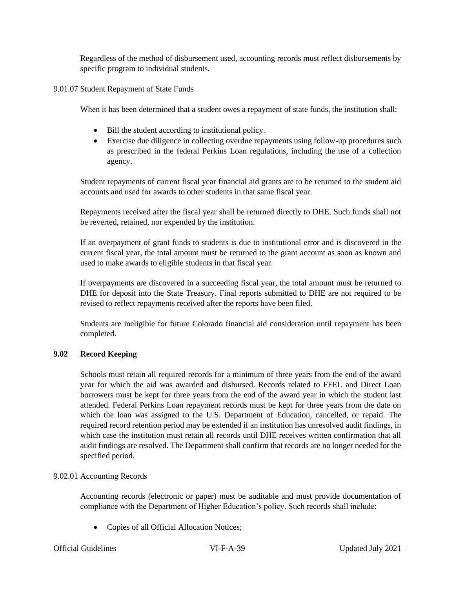Regardless of the method of disbursement used, accounting records must reflect disbursements by specific program to individual students.

9.01.07 Student Repayment of State Funds

When it has been determined that a student owes a repayment of state funds, the institution shall:

- Bill the student according to institutional policy.
- Exercise due diligence in collecting overdue repayments using follow-up procedures such as prescribed in the federal Perkins Loan regulations, including the use of a collection agency.

Student repayments of current fiscal year financial aid grants are to be returned to the student aid accounts and used for awards to other students in that same fiscal year.

Repayments received after the fiscal year shall be returned directly to DHE. Such funds shall not be reverted, retained, nor expended by the institution.

If an overpayment of grant funds to students is due to institutional error and is discovered in the current fiscal year, the total amount must be returned to the grant account as soon as known and used to make awards to eligible students in that fiscal year.

If overpayments are discovered in a succeeding fiscal year, the total amount must be returned to DHE for deposit into the State Treasury. Final reports submitted to DHE are not required to be revised to reflect repayments received after the reports have been filed.

Students are ineligible for future Colorado financial aid consideration until repayment has been completed.

## **9.02 Record Keeping**

Schools must retain all required records for a minimum of three years from the end of the award year for which the aid was awarded and disbursed. Records related to FFEL and Direct Loan borrowers must be kept for three years from the end of the award year in which the student last attended. Federal Perkins Loan repayment records must be kept for three years from the date on which the loan was assigned to the U.S. Department of Education, cancelled, or repaid. The required record retention period may be extended if an institution has unresolved audit findings, in which case the institution must retain all records until DHE receives written confirmation that all audit findings are resolved. The Department shall confirm that records are no longer needed for the specified period.

## 9.02.01 Accounting Records

Accounting records (electronic or paper) must be auditable and must provide documentation of compliance with the Department of Higher Education's policy. Such records shall include:

• Copies of all Official Allocation Notices;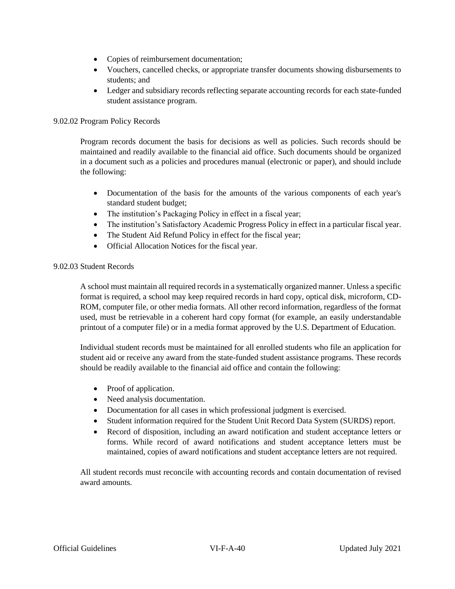- Copies of reimbursement documentation;
- Vouchers, cancelled checks, or appropriate transfer documents showing disbursements to students; and
- Ledger and subsidiary records reflecting separate accounting records for each state-funded student assistance program.

## 9.02.02 Program Policy Records

Program records document the basis for decisions as well as policies. Such records should be maintained and readily available to the financial aid office. Such documents should be organized in a document such as a policies and procedures manual (electronic or paper), and should include the following:

- Documentation of the basis for the amounts of the various components of each year's standard student budget;
- The institution's Packaging Policy in effect in a fiscal year;
- The institution's Satisfactory Academic Progress Policy in effect in a particular fiscal year.
- The Student Aid Refund Policy in effect for the fiscal year;
- Official Allocation Notices for the fiscal year.

## 9.02.03 Student Records

A school must maintain all required records in a systematically organized manner. Unless a specific format is required, a school may keep required records in hard copy, optical disk, microform, CD-ROM, computer file, or other media formats. All other record information, regardless of the format used, must be retrievable in a coherent hard copy format (for example, an easily understandable printout of a computer file) or in a media format approved by the U.S. Department of Education.

Individual student records must be maintained for all enrolled students who file an application for student aid or receive any award from the state-funded student assistance programs. These records should be readily available to the financial aid office and contain the following:

- Proof of application.
- Need analysis documentation.
- Documentation for all cases in which professional judgment is exercised.
- Student information required for the Student Unit Record Data System (SURDS) report.
- Record of disposition, including an award notification and student acceptance letters or forms. While record of award notifications and student acceptance letters must be maintained, copies of award notifications and student acceptance letters are not required.

All student records must reconcile with accounting records and contain documentation of revised award amounts.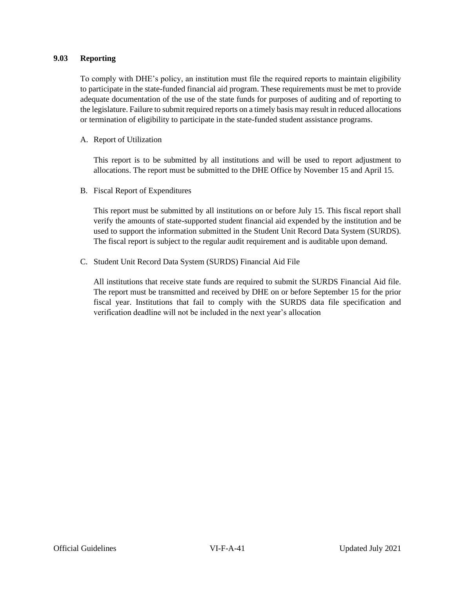## **9.03 Reporting**

To comply with DHE's policy, an institution must file the required reports to maintain eligibility to participate in the state-funded financial aid program. These requirements must be met to provide adequate documentation of the use of the state funds for purposes of auditing and of reporting to the legislature. Failure to submit required reports on a timely basis may result in reduced allocations or termination of eligibility to participate in the state-funded student assistance programs.

A. Report of Utilization

This report is to be submitted by all institutions and will be used to report adjustment to allocations. The report must be submitted to the DHE Office by November 15 and April 15.

B. Fiscal Report of Expenditures

This report must be submitted by all institutions on or before July 15. This fiscal report shall verify the amounts of state-supported student financial aid expended by the institution and be used to support the information submitted in the Student Unit Record Data System (SURDS). The fiscal report is subject to the regular audit requirement and is auditable upon demand.

C. Student Unit Record Data System (SURDS) Financial Aid File

<span id="page-40-0"></span>All institutions that receive state funds are required to submit the SURDS Financial Aid file. The report must be transmitted and received by DHE on or before September 15 for the prior fiscal year. Institutions that fail to comply with the SURDS data file specification and verification deadline will not be included in the next year's allocation